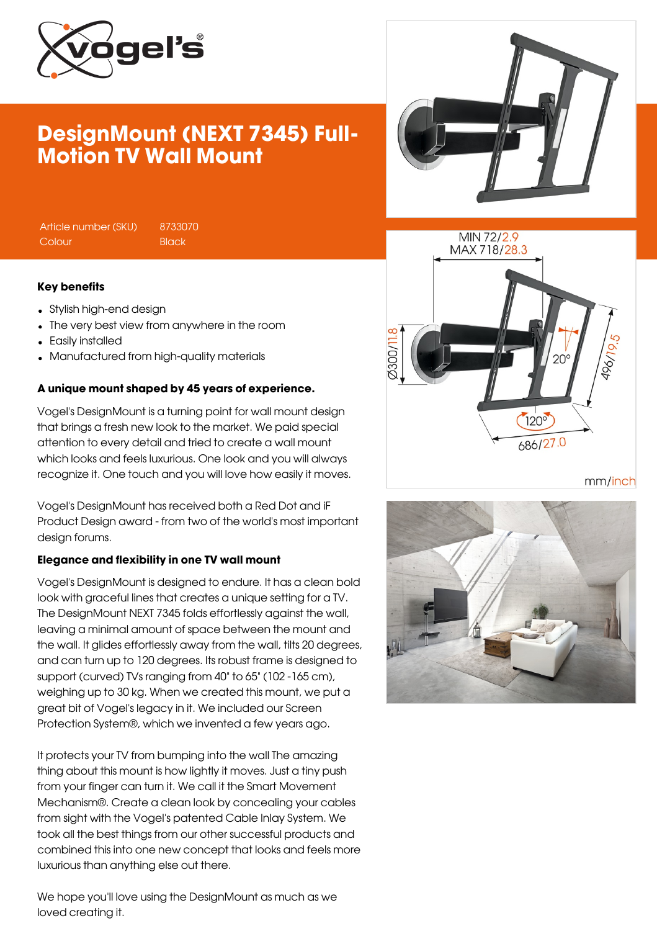

# DesignMount (NEXT 7345) Full-Motion TV Wall Mount

Article number (SKU) 8733070 Colour Black

#### Key benefits

- Stylish high-end design
- The very best view from anywhere in the room
- Easily installed
- Manufactured from high-quality materials

### A unique mount shaped by 45 years of experience.

Vogel's DesignMount is a turning point for wall mount design that brings a fresh new look to the market. We paid special attention to every detail and tried to create a wall mount which looks and feels luxurious. One look and you will always recognize it. One touch and you will love how easily it moves.

Vogel's DesignMount has received both a Red Dot and iF Product Design award - from two of the world's most important design forums.

### Elegance and flexibility in one TV wall mount

Vogel's DesignMount is designed to endure. It has a clean bold look with graceful lines that creates a unique setting for a TV. The DesignMount NEXT 7345 folds effortlessly against the wall, leaving a minimal amount of space between the mount and the wall. It glides effortlessly away from the wall, tilts 20 degrees, and can turn up to 120 degrees. Its robust frame is designed to support (curved) TVs ranging from 40" to 65" (102 -165 cm), weighing up to 30 kg. When we created this mount, we put a great bit of Vogel's legacy in it. We included our Screen Protection System®, which we invented a few years ago.

It protects your TV from bumping into the wall The amazing thing about this mount is how lightly it moves. Just a tiny push from your finger can turn it. We call it the Smart Movement Mechanism®. Create a clean look by concealing your cables from sight with the Vogel's patented Cable Inlay System. We took all the best things from our other successful products and combined this into one new concept that looks and feels more luxurious than anything else out there.

We hope you'll love using the DesignMount as much as we loved creating it.





mm/inch